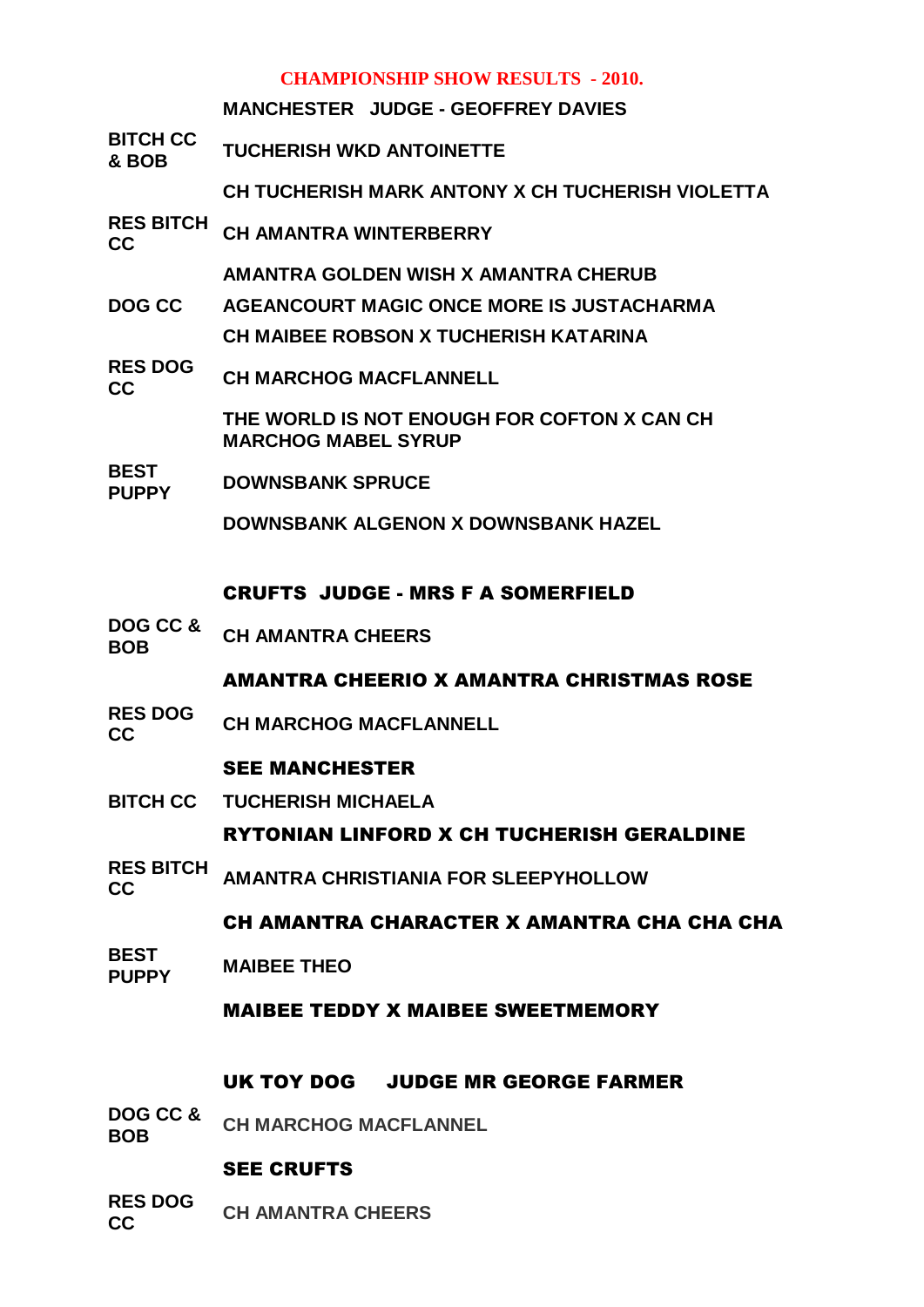#### **CHAMPIONSHIP SHOW RESULTS - 2010.**

**MANCHESTER JUDGE - GEOFFREY DAVIES**

- **BITCH CC & BOB TUCHERISH WKD ANTOINETTE CH TUCHERISH MARK ANTONY X CH TUCHERISH VIOLETTA**
- **RES BITCH CC CH AMANTRA WINTERBERRY**

**AMANTRA GOLDEN WISH X AMANTRA CHERUB**

- **DOG CC AGEANCOURT MAGIC ONCE MORE IS JUSTACHARMA**
	- **CH MAIBEE ROBSON X TUCHERISH KATARINA**
- **RES DOG CC CH MARCHOG MACFLANNELL**

**THE WORLD IS NOT ENOUGH FOR COFTON X CAN CH MARCHOG MABEL SYRUP**

**BEST PUPPY DOWNSBANK SPRUCE**

**DOWNSBANK ALGENON X DOWNSBANK HAZEL**

# CRUFTS JUDGE - MRS F A SOMERFIELD

**DOG CC & BOB CH AMANTRA CHEERS**

AMANTRA CHEERIO X AMANTRA CHRISTMAS ROSE

**RES DOG CH MARCHOG MACFLANNELL** 

# SEE MANCHESTER

**BITCH CC TUCHERISH MICHAELA**

# RYTONIAN LINFORD X CH TUCHERISH GERALDINE

**RES BITCH CC AMANTRA CHRISTIANIA FOR SLEEPYHOLLOW**

CH AMANTRA CHARACTER X AMANTRA CHA CHA CHA

**BEST PUPPY MAIBEE THEO**

MAIBEE TEDDY X MAIBEE SWEETMEMORY

# UK TOY DOG JUDGE MR GEORGE FARMER

**DOG CC & BOB CH MARCHOG MACFLANNEL** 

# SEE CRUFTS

**RES DOG CC CH AMANTRA CHEERS**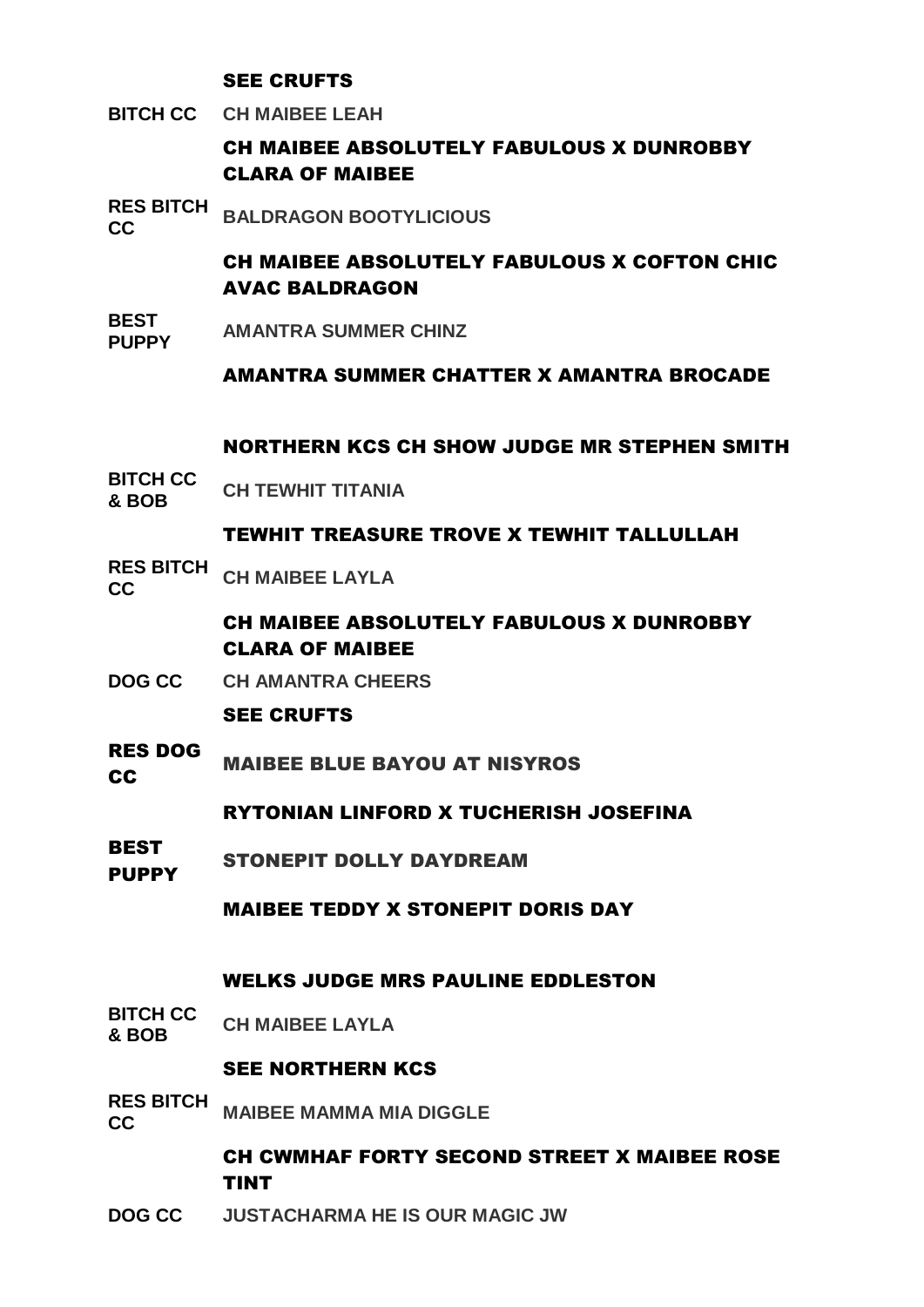#### SEE CRUFTS

**BITCH CC CH MAIBEE LEAH**

#### CH MAIBEE ABSOLUTELY FABULOUS X DUNROBBY CLARA OF MAIBEE

**RES BITCH CC BALDRAGON BOOTYLICIOUS**

# CH MAIBEE ABSOLUTELY FABULOUS X COFTON CHIC AVAC BALDRAGON

**BEST PUPPY AMANTRA SUMMER CHINZ**

AMANTRA SUMMER CHATTER X AMANTRA BROCADE

#### NORTHERN KCS CH SHOW JUDGE MR STEPHEN SMITH

**BITCH CC & BOB CH TEWHIT TITANIA**

#### TEWHIT TREASURE TROVE X TEWHIT TALLULLAH

**RES BITCH CC CH MAIBEE LAYLA**

# CH MAIBEE ABSOLUTELY FABULOUS X DUNROBBY CLARA OF MAIBEE

**DOG CC CH AMANTRA CHEERS**

#### SEE CRUFTS

RES DOG **CC** MAIBEE BLUE BAYOU AT NISYROS

RYTONIAN LINFORD X TUCHERISH JOSEFINA

**BEST** PUPPY STONEPIT DOLLY DAYDREAM

MAIBEE TEDDY X STONEPIT DORIS DAY

#### WELKS JUDGE MRS PAULINE EDDLESTON

**BITCH CC & BOB CH MAIBEE LAYLA**

#### SEE NORTHERN KCS

**RES BITCH CC MAIBEE MAMMA MIA DIGGLE**

> CH CWMHAF FORTY SECOND STREET X MAIBEE ROSE TINT

**DOG CC JUSTACHARMA HE IS OUR MAGIC JW**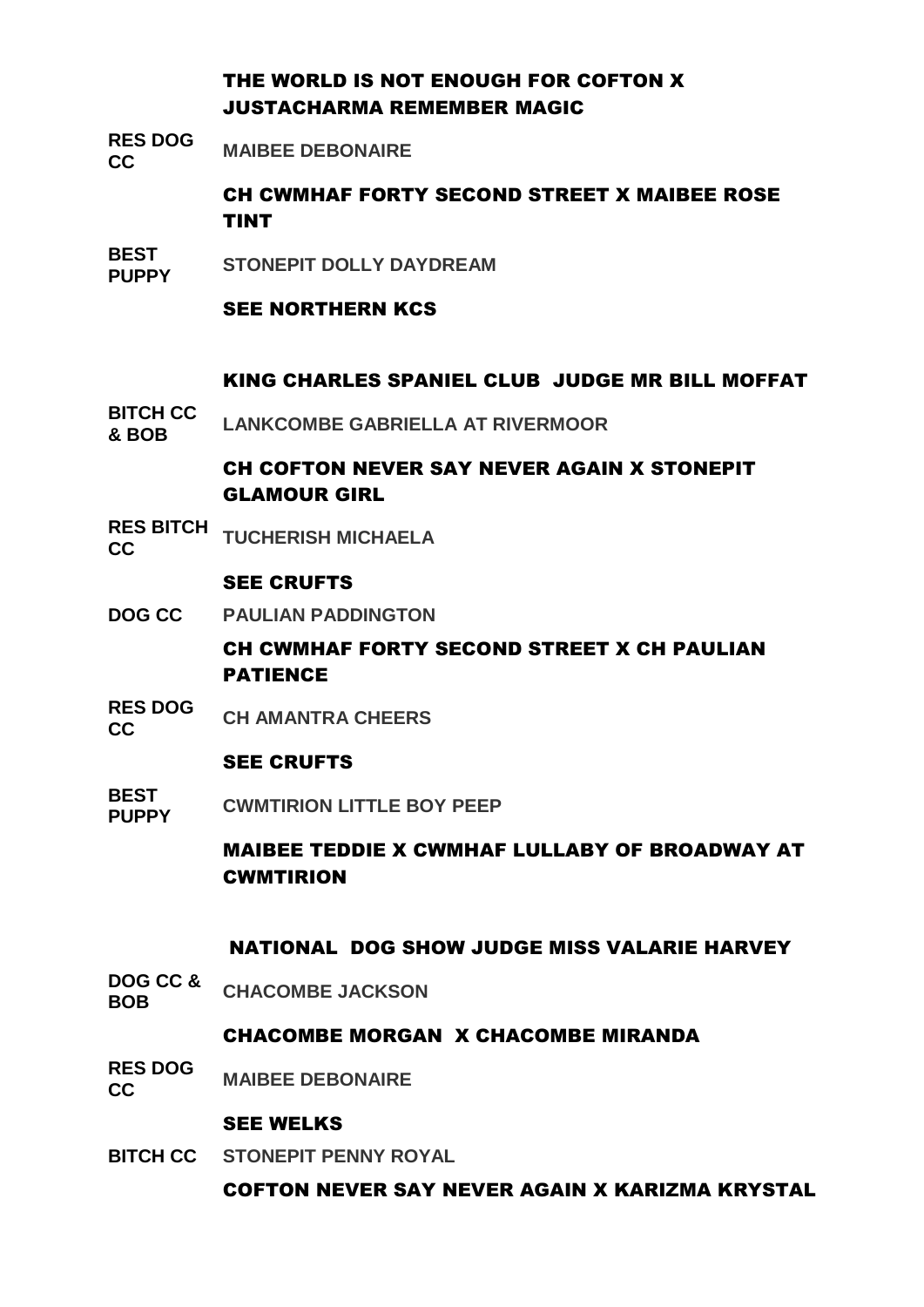# THE WORLD IS NOT ENOUGH FOR COFTON X JUSTACHARMA REMEMBER MAGIC

**RES DOG CC MAIBEE DEBONAIRE**

# CH CWMHAF FORTY SECOND STREET X MAIBEE ROSE TINT

**BEST PUPPY STONEPIT DOLLY DAYDREAM**

# SEE NORTHERN KCS

# KING CHARLES SPANIEL CLUB JUDGE MR BILL MOFFAT

**BITCH CC & BOB LANKCOMBE GABRIELLA AT RIVERMOOR**

# CH COFTON NEVER SAY NEVER AGAIN X STONEPIT GLAMOUR GIRL

**RES BITCH CC TUCHERISH MICHAELA**

#### SEE CRUFTS

**DOG CC PAULIAN PADDINGTON**

# CH CWMHAF FORTY SECOND STREET X CH PAULIAN PATIENCE

**RES DOG CC CH AMANTRA CHEERS**

# SEE CRUFTS

**BEST PUPPY CWMTIRION LITTLE BOY PEEP**

> MAIBEE TEDDIE X CWMHAF LULLABY OF BROADWAY AT **CWMTIRION**

# NATIONAL DOG SHOW JUDGE MISS VALARIE HARVEY

**DOG CC & BOB CHACOMBE JACKSON**

# CHACOMBE MORGAN X CHACOMBE MIRANDA

**RES DOG CC MAIBEE DEBONAIRE**

#### SEE WELKS

**BITCH CC STONEPIT PENNY ROYAL**

# COFTON NEVER SAY NEVER AGAIN X KARIZMA KRYSTAL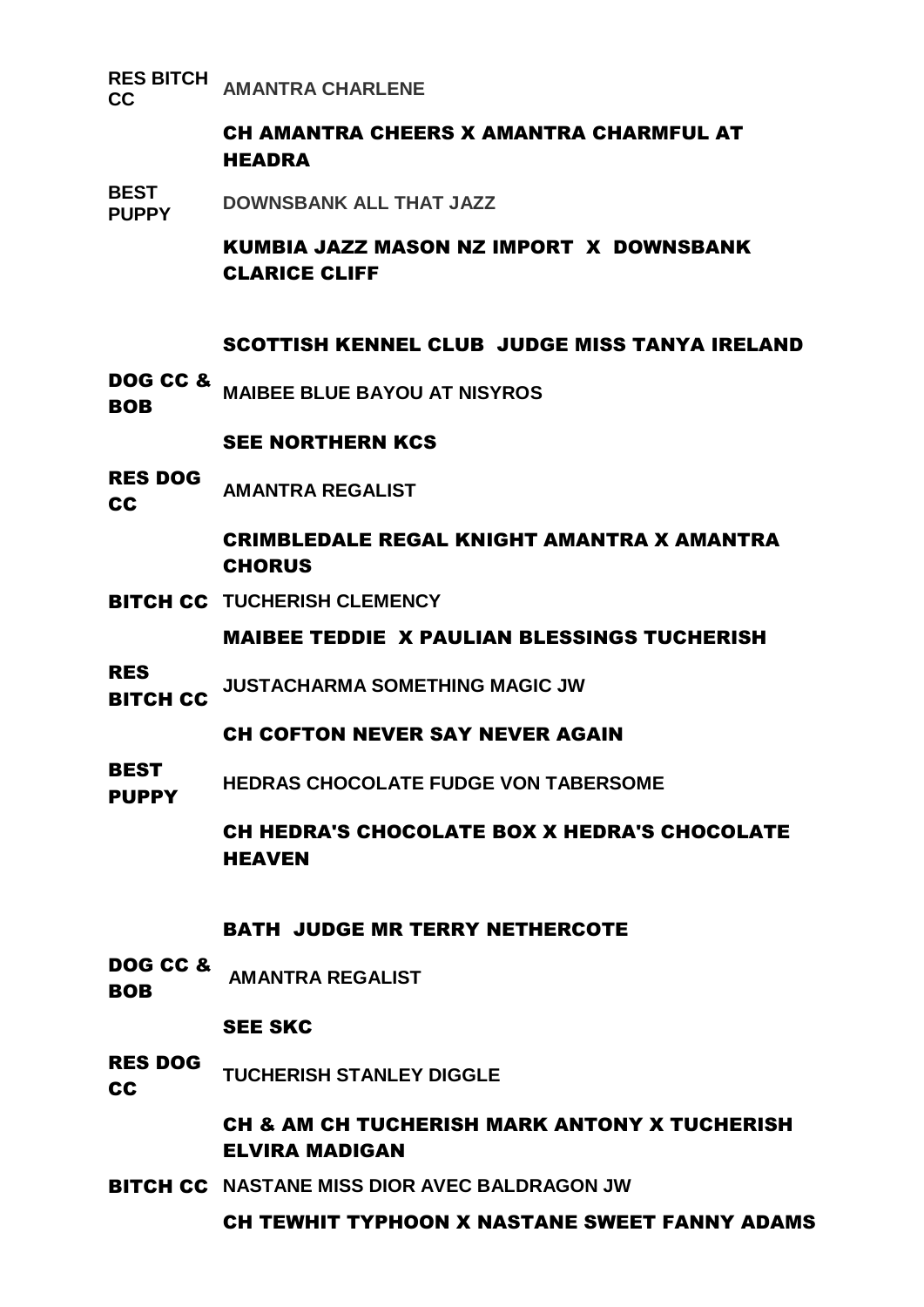#### **RES BITCH CC AMANTRA CHARLENE**

# CH AMANTRA CHEERS X AMANTRA CHARMFUL AT HEADRA

**BEST POWNSBANK ALL THAT JAZZ** 

# KUMBIA JAZZ MASON NZ IMPORT X DOWNSBANK CLARICE CLIFF

# SCOTTISH KENNEL CLUB JUDGE MISS TANYA IRELAND

DOG CC & **BOB MAIBEE BLUE BAYOU AT NISYROS**

#### SEE NORTHERN KCS

RES DOG CC **AMANTRA REGALIST**

# CRIMBLEDALE REGAL KNIGHT AMANTRA X AMANTRA **CHORUS**

BITCH CC **TUCHERISH CLEMENCY**

#### MAIBEE TEDDIE X PAULIAN BLESSINGS TUCHERISH

RES BITCH CC **JUSTACHARMA SOMETHING MAGIC JW**

# CH COFTON NEVER SAY NEVER AGAIN

BEST **PUPPY HEDRAS CHOCOLATE FUDGE VON TABERSOME**

> CH HEDRA'S CHOCOLATE BOX X HEDRA'S CHOCOLATE **HEAVEN**

# BATH JUDGE MR TERRY NETHERCOTE

DOG CC & BOB **AMANTRA REGALIST**

#### SEE SKC

- RES DOG **CC TUCHERISH STANLEY DIGGLE**
	- CH & AM CH TUCHERISH MARK ANTONY X TUCHERISH ELVIRA MADIGAN
- BITCH CC **NASTANE MISS DIOR AVEC BALDRAGON JW**
	- CH TEWHIT TYPHOON X NASTANE SWEET FANNY ADAMS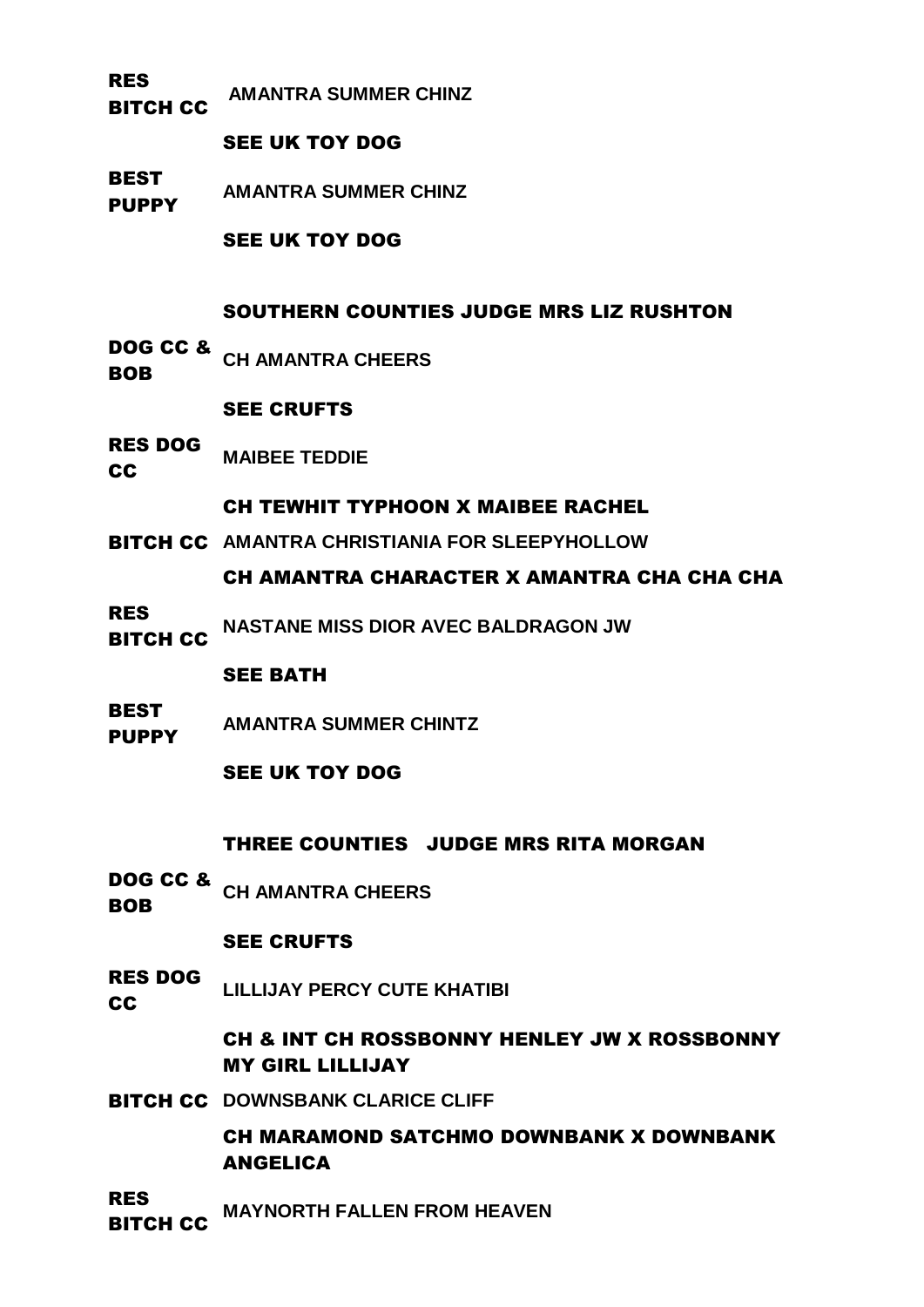RES BITCH CC **AMANTRA SUMMER CHINZ**

# SEE UK TOY DOG

BEST **PUPPY AMANTRA SUMMER CHINZ**

SEE UK TOY DOG

# SOUTHERN COUNTIES JUDGE MRS LIZ RUSHTON

DOG CC & BOB **CH AMANTRA CHEERS**

# SEE CRUFTS

RES DOG CC **MAIBEE TEDDIE**

# CH TEWHIT TYPHOON X MAIBEE RACHEL

BITCH CC **AMANTRA CHRISTIANIA FOR SLEEPYHOLLOW**

CH AMANTRA CHARACTER X AMANTRA CHA CHA CHA

RES BITCH CC **NASTANE MISS DIOR AVEC BALDRAGON JW**

# SEE BATH

- **BEST** PUPPY **AMANTRA SUMMER CHINTZ**
	- SEE UK TOY DOG

# THREE COUNTIES JUDGE MRS RITA MORGAN

DOG CC & BOB **CH AMANTRA CHEERS**

# SEE CRUFTS

- RES DOG **LILLIJAY PERCY CUTE KHATIBI**
- **CC**

CH & INT CH ROSSBONNY HENLEY JW X ROSSBONNY MY GIRL LILLIJAY

BITCH CC **DOWNSBANK CLARICE CLIFF**

CH MARAMOND SATCHMO DOWNBANK X DOWNBANK ANGELICA

- RES
- BITCH CC **MAYNORTH FALLEN FROM HEAVEN**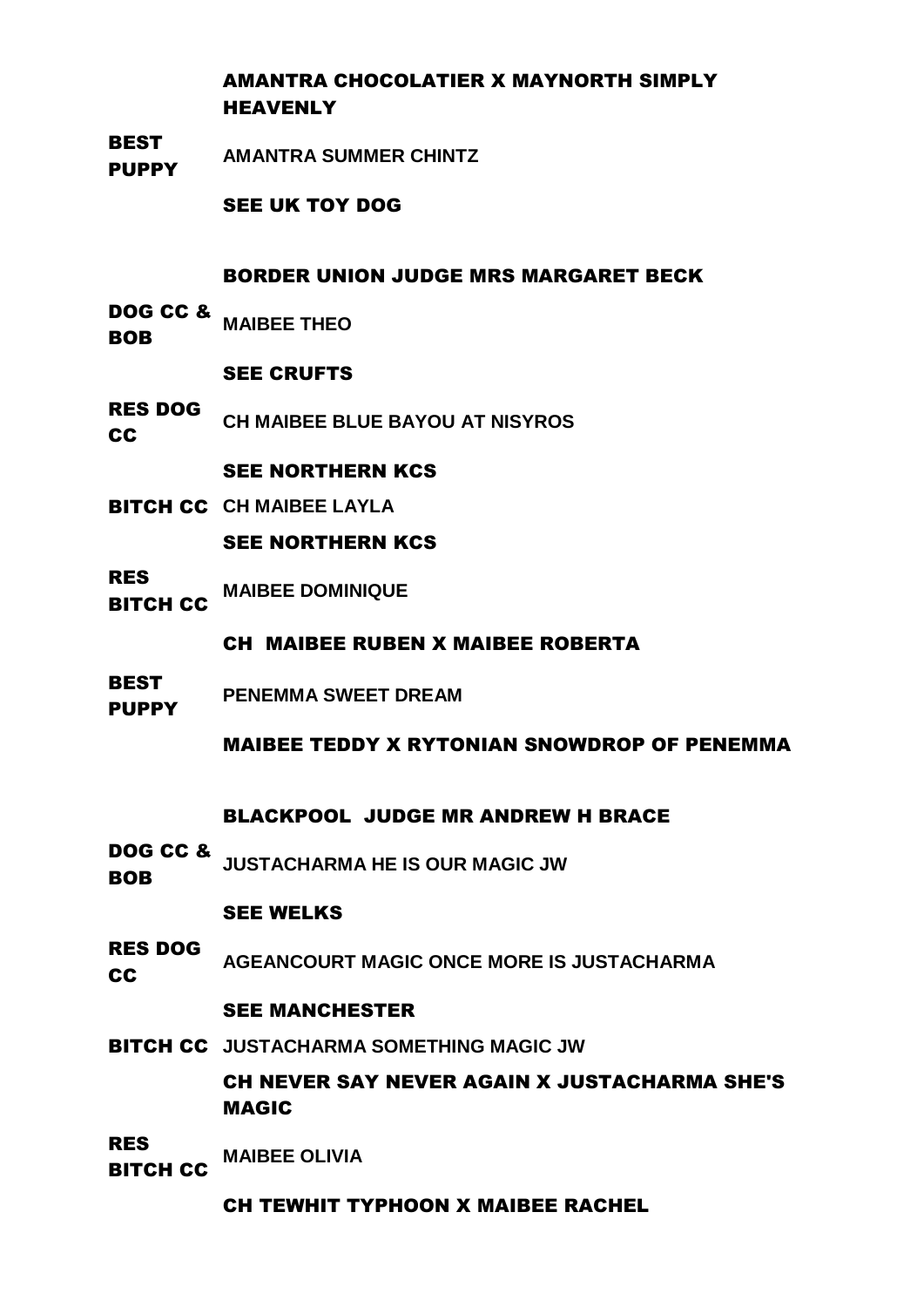# AMANTRA CHOCOLATIER X MAYNORTH SIMPLY HEAVENLY

BEST **PUPPY AMANTRA SUMMER CHINTZ**

SEE UK TOY DOG

#### BORDER UNION JUDGE MRS MARGARET BECK

DOG CC & BOB **MAIBEE THEO**

#### SEE CRUFTS

RES DOG CC **CH MAIBEE BLUE BAYOU AT NISYROS**

#### SEE NORTHERN KCS

BITCH CC **CH MAIBEE LAYLA**

# SEE NORTHERN KCS

RES **MAIBEE DOMINIQUE**

# BITCH CC

#### CH MAIBEE RUBEN X MAIBEE ROBERTA

BEST **PUPPY PENEMMA SWEET DREAM**

# MAIBEE TEDDY X RYTONIAN SNOWDROP OF PENEMMA

# BLACKPOOL JUDGE MR ANDREW H BRACE

DOG CC & BOB **JUSTACHARMA HE IS OUR MAGIC JW**

# SEE WELKS

RES DOG CC **AGEANCOURT MAGIC ONCE MORE IS JUSTACHARMA**

#### SEE MANCHESTER

BITCH CC **JUSTACHARMA SOMETHING MAGIC JW**

CH NEVER SAY NEVER AGAIN X JUSTACHARMA SHE'S MAGIC

RES **MAIBEE OLIVIA**

BITCH CC

CH TEWHIT TYPHOON X MAIBEE RACHEL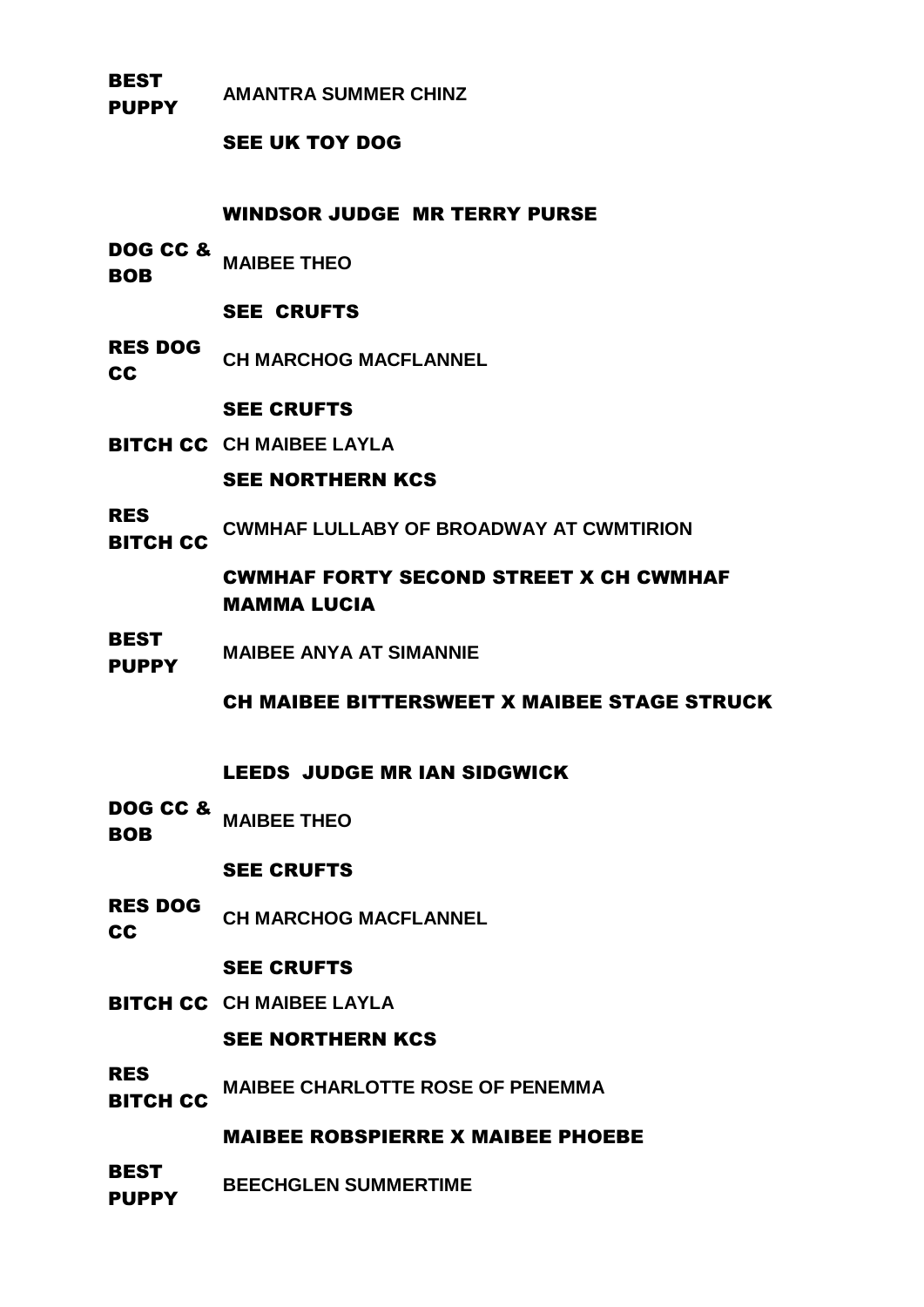#### **BEST PUPPY AMANTRA SUMMER CHINZ**

# SEE UK TOY DOG

# WINDSOR JUDGE MR TERRY PURSE

DOG CC & BOB **MAIBEE THEO**

# SEE CRUFTS

RES DOG **CC CH MARCHOG MACFLANNEL**

#### SEE CRUFTS

BITCH CC **CH MAIBEE LAYLA**

# SEE NORTHERN KCS

RES BITCH CC **CWMHAF LULLABY OF BROADWAY AT CWMTIRION**

# CWMHAF FORTY SECOND STREET X CH CWMHAF MAMMA LUCIA

**BEST PUPPY MAIBEE ANYA AT SIMANNIE**

CH MAIBEE BITTERSWEET X MAIBEE STAGE STRUCK

# LEEDS JUDGE MR IAN SIDGWICK

DOG CC & BOB **MAIBEE THEO**

# SEE CRUFTS

RES DOG **CC CH MARCHOG MACFLANNEL**

# SEE CRUFTS

BITCH CC **CH MAIBEE LAYLA**

# SEE NORTHERN KCS

RES BITCH CC **MAIBEE CHARLOTTE ROSE OF PENEMMA**

# MAIBEE ROBSPIERRE X MAIBEE PHOEBE

#### **BEST** PUPPY **BEECHGLEN SUMMERTIME**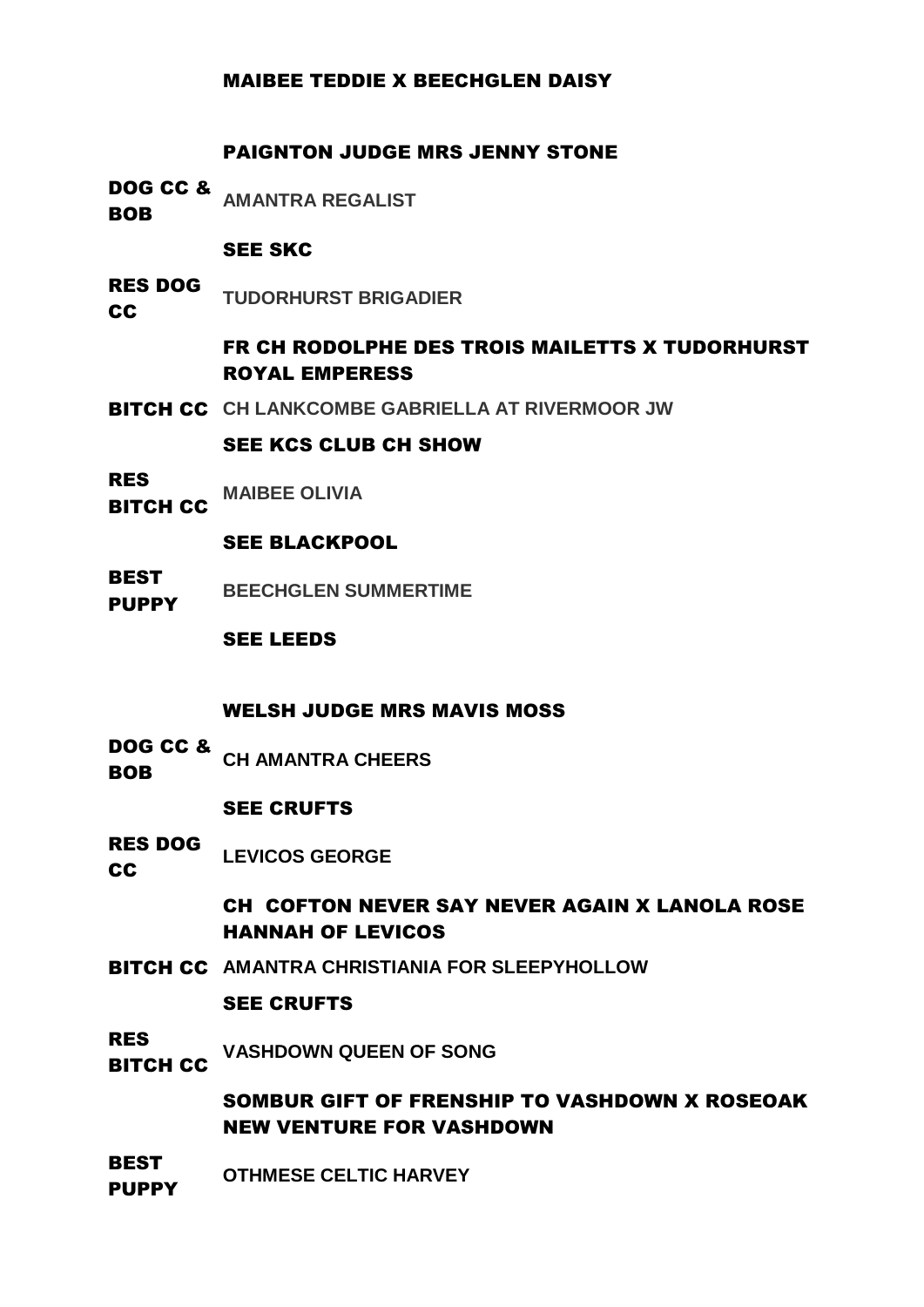#### MAIBEE TEDDIE X BEECHGLEN DAISY

#### PAIGNTON JUDGE MRS JENNY STONE

- DOG CC & **AMANTRA REGALIST**
- BOB

#### SEE SKC

RES DOG CC **TUDORHURST BRIGADIER**

# FR CH RODOLPHE DES TROIS MAILETTS X TUDORHURST ROYAL EMPERESS

BITCH CC **CH LANKCOMBE GABRIELLA AT RIVERMOOR JW**

#### SEE KCS CLUB CH SHOW

RES BITCH CC **MAIBEE OLIVIA**

#### SEE BLACKPOOL

**BEST PUPPY BEECHGLEN SUMMERTIME**

#### SEE LEEDS

#### WELSH JUDGE MRS MAVIS MOSS

DOG CC & BOB **CH AMANTRA CHEERS**

#### SEE CRUFTS

RES DOG CC **LEVICOS GEORGE**

# CH COFTON NEVER SAY NEVER AGAIN X LANOLA ROSE HANNAH OF LEVICOS

BITCH CC **AMANTRA CHRISTIANIA FOR SLEEPYHOLLOW**

#### SEE CRUFTS

RES

**VASHDOWN QUEEN OF SONG**

BITCH CC

SOMBUR GIFT OF FRENSHIP TO VASHDOWN X ROSEOAK NEW VENTURE FOR VASHDOWN

#### BEST **PUPPY OTHMESE CELTIC HARVEY**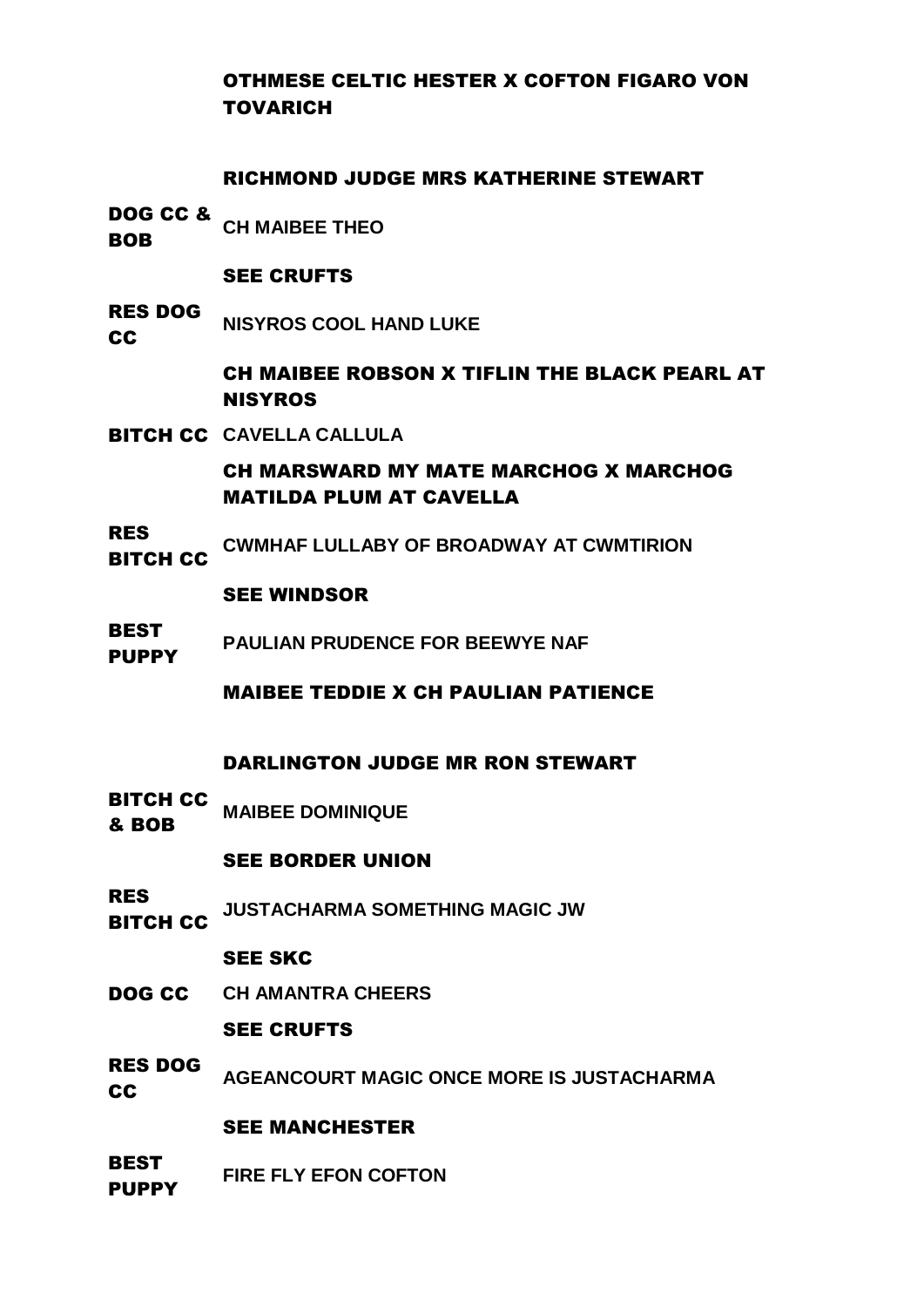# OTHMESE CELTIC HESTER X COFTON FIGARO VON TOVARICH

# RICHMOND JUDGE MRS KATHERINE STEWART

DOG CC & **BOB CH MAIBEE THEO**

SEE CRUFTS

RES DOG CC **NISYROS COOL HAND LUKE**

> CH MAIBEE ROBSON X TIFLIN THE BLACK PEARL AT **NISYROS**

BITCH CC **CAVELLA CALLULA**

CH MARSWARD MY MATE MARCHOG X MARCHOG MATILDA PLUM AT CAVELLA

RES BITCH CC **CWMHAF LULLABY OF BROADWAY AT CWMTIRION**

# SEE WINDSOR

BEST PUPPY **PAULIAN PRUDENCE FOR BEEWYE NAF**

MAIBEE TEDDIE X CH PAULIAN PATIENCE

# DARLINGTON JUDGE MR RON STEWART

BITCH CC & BOB **MAIBEE DOMINIQUE**

# SEE BORDER UNION

- RES BITCH CC **JUSTACHARMA SOMETHING MAGIC JW**
	- SEE SKC
- DOG CC **CH AMANTRA CHEERS**

SEE CRUFTS

RES DOG CC **AGEANCOURT MAGIC ONCE MORE IS JUSTACHARMA**

# SEE MANCHESTER

BEST **PUPPY FIRE FLY EFON COFTON**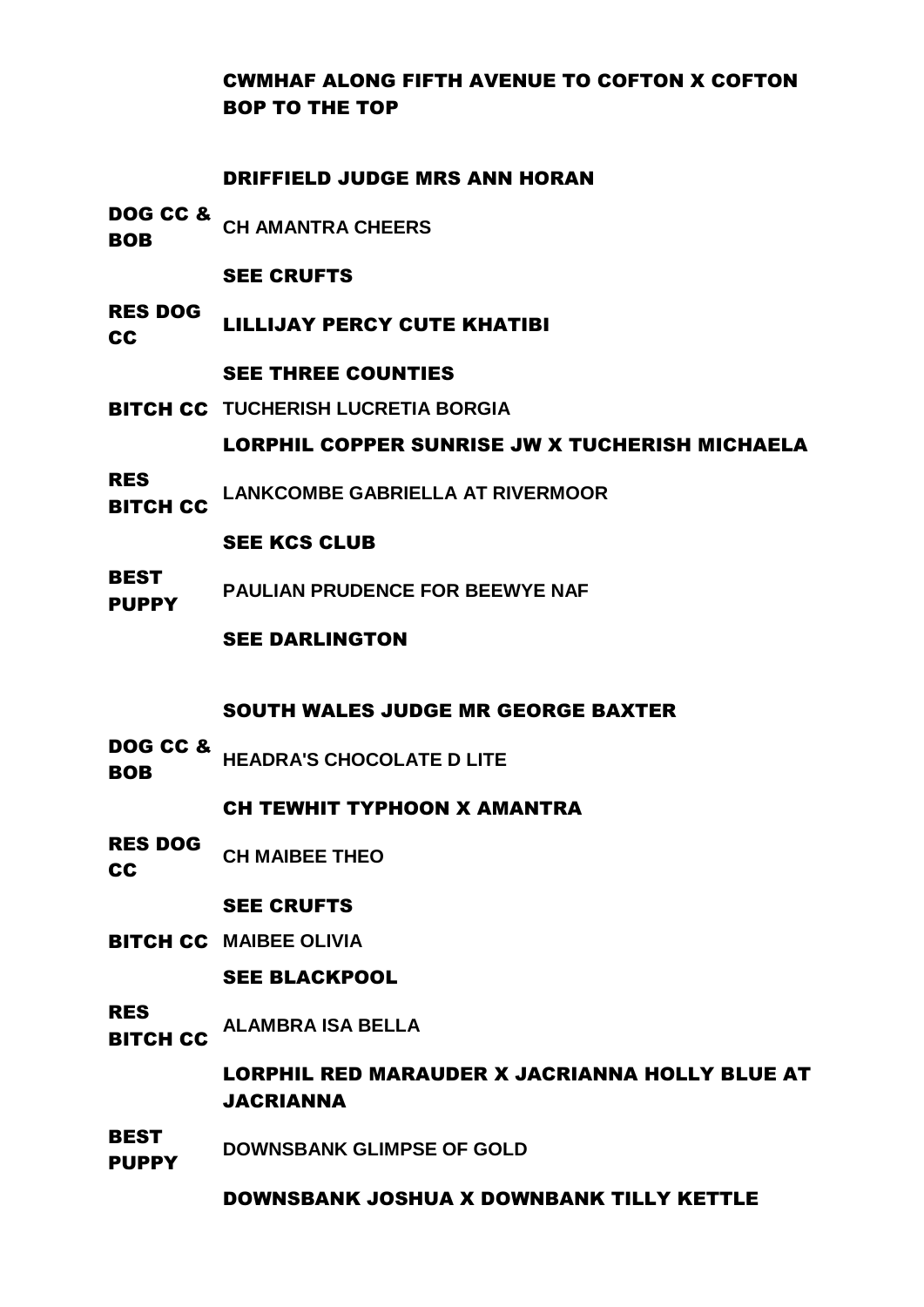# CWMHAF ALONG FIFTH AVENUE TO COFTON X COFTON BOP TO THE TOP

#### DRIFFIELD JUDGE MRS ANN HORAN

DOG CC & BOB **CH AMANTRA CHEERS**

#### SEE CRUFTS

RES DOG **CC LILLIJAY PERCY CUTE KHATIBI** 

#### SEE THREE COUNTIES

BITCH CC **TUCHERISH LUCRETIA BORGIA**

LORPHIL COPPER SUNRISE JW X TUCHERISH MICHAELA

RES BITCH CC **LANKCOMBE GABRIELLA AT RIVERMOOR**

#### SEE KCS CLUB

BEST **PUPPY PAULIAN PRUDENCE FOR BEEWYE NAF**

#### SEE DARLINGTON

#### SOUTH WALES JUDGE MR GEORGE BAXTER

DOG CC & BOB **HEADRA'S CHOCOLATE D LITE**

#### CH TEWHIT TYPHOON X AMANTRA

RES DOG CC **CH MAIBEE THEO**

SEE CRUFTS

BITCH CC **MAIBEE OLIVIA**

#### SEE BLACKPOOL

RES

BITCH CC **ALAMBRA ISA BELLA**

# LORPHIL RED MARAUDER X JACRIANNA HOLLY BLUE AT JACRIANNA

BEST **PUPPY DOWNSBANK GLIMPSE OF GOLD**

# DOWNSBANK JOSHUA X DOWNBANK TILLY KETTLE